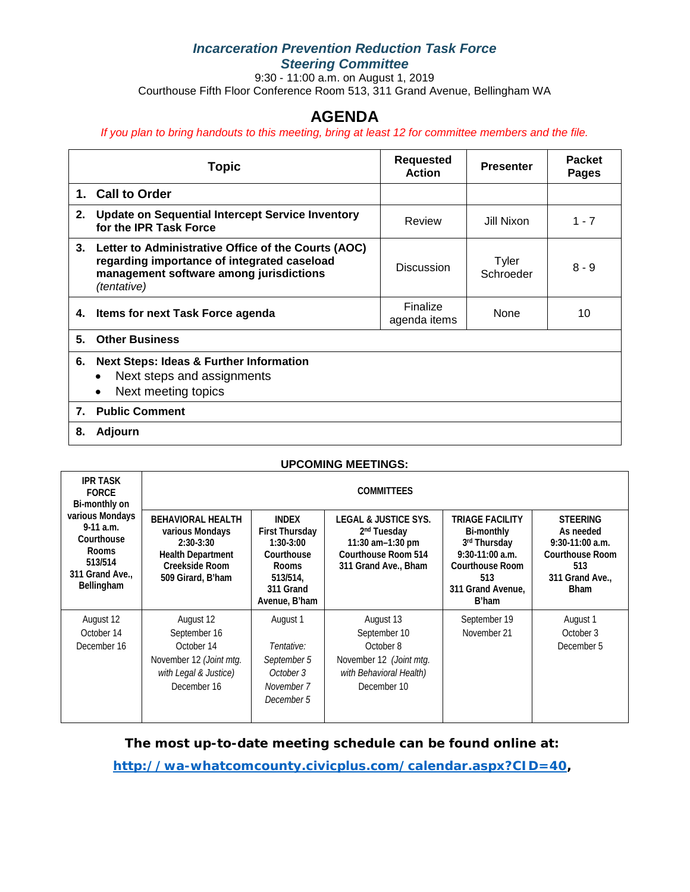### *Incarceration Prevention Reduction Task Force Steering Committee*

9:30 - 11:00 a.m. on August 1, 2019 Courthouse Fifth Floor Conference Room 513, 311 Grand Avenue, Bellingham WA

# **AGENDA**

*If you plan to bring handouts to this meeting, bring at least 12 for committee members and the file.*

|    | <b>Topic</b>                                                                                                                                                 | <b>Requested</b><br><b>Action</b> | <b>Presenter</b>   | <b>Packet</b><br><b>Pages</b> |
|----|--------------------------------------------------------------------------------------------------------------------------------------------------------------|-----------------------------------|--------------------|-------------------------------|
| 1. | <b>Call to Order</b>                                                                                                                                         |                                   |                    |                               |
| 2. | Update on Sequential Intercept Service Inventory<br>for the IPR Task Force                                                                                   | Review                            | Jill Nixon         | $1 - 7$                       |
| 3. | Letter to Administrative Office of the Courts (AOC)<br>regarding importance of integrated caseload<br>management software among jurisdictions<br>(tentative) | Discussion                        | Tyler<br>Schroeder | $8 - 9$                       |
| 4. | <b>Items for next Task Force agenda</b>                                                                                                                      | Finalize<br>agenda items          | None               | 10                            |
| 5. | <b>Other Business</b>                                                                                                                                        |                                   |                    |                               |
| 6. | <b>Next Steps: Ideas &amp; Further Information</b><br>Next steps and assignments<br>$\bullet$<br>Next meeting topics<br>$\bullet$                            |                                   |                    |                               |
| 7. | <b>Public Comment</b>                                                                                                                                        |                                   |                    |                               |
| 8. | Adjourn                                                                                                                                                      |                                   |                    |                               |

#### **UPCOMING MEETINGS:**

| <b>IPR TASK</b><br><b>FORCE</b><br>Bi-monthly on                                                        | <b>COMMITTEES</b>                                                                                                             |                                                                                                                              |                                                                                                                               |                                                                                                                                          |                                                                                                                      |  |
|---------------------------------------------------------------------------------------------------------|-------------------------------------------------------------------------------------------------------------------------------|------------------------------------------------------------------------------------------------------------------------------|-------------------------------------------------------------------------------------------------------------------------------|------------------------------------------------------------------------------------------------------------------------------------------|----------------------------------------------------------------------------------------------------------------------|--|
| various Mondays<br>$9-11$ a.m.<br>Courthouse<br><b>Rooms</b><br>513/514<br>311 Grand Ave.<br>Bellingham | <b>BEHAVIORAL HEALTH</b><br>various Mondays<br>$2:30-3:30$<br><b>Health Department</b><br>Creekside Room<br>509 Girard, B'ham | <b>INDEX</b><br><b>First Thursday</b><br>$1:30-3:00$<br>Courthouse<br><b>Rooms</b><br>513/514.<br>311 Grand<br>Avenue, B'ham | <b>LEGAL &amp; JUSTICE SYS.</b><br>2 <sup>nd</sup> Tuesday<br>11:30 am-1:30 pm<br>Courthouse Room 514<br>311 Grand Ave., Bham | <b>TRIAGE FACILITY</b><br>Bi-monthly<br>3rd Thursday<br>$9:30-11:00$ a.m.<br><b>Courthouse Room</b><br>513<br>311 Grand Avenue,<br>B'ham | <b>STEERING</b><br>As needed<br>$9:30-11:00$ a.m.<br><b>Courthouse Room</b><br>513<br>311 Grand Ave.,<br><b>Bham</b> |  |
| August 12<br>October 14<br>December 16                                                                  | August 12<br>September 16<br>October 14<br>November 12 (Joint mtg.<br>with Legal & Justice)<br>December 16                    | August 1<br>Tentative:<br>September 5<br>October 3<br>November 7<br>December 5                                               | August 13<br>September 10<br>October 8<br>November 12 (Joint mtg.<br>with Behavioral Health)<br>December 10                   | September 19<br>November 21                                                                                                              | August 1<br>October 3<br>December 5                                                                                  |  |

**The most up-to-date meeting schedule can be found online at:**

**[http://wa-whatcomcounty.civicplus.com/calendar.aspx?CID=40,](http://wa-whatcomcounty.civicplus.com/calendar.aspx?CID=40)**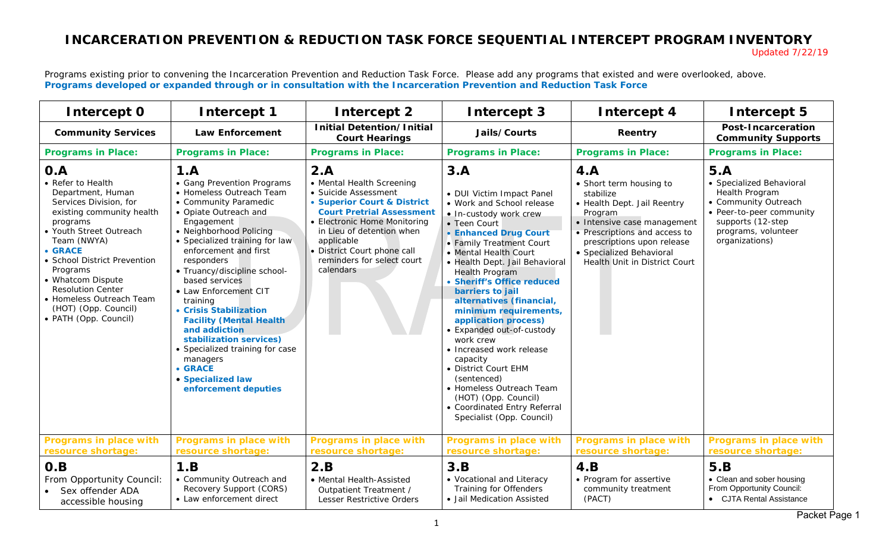# **INCARCERATION PREVENTION & REDUCTION TASK FORCE SEQUENTIAL INTERCEPT PROGRAM INVENTORY**

Updated 7/22/19

Programs existing prior to convening the Incarceration Prevention and Reduction Task Force. Please add any programs that existed and were overlooked, above. **Programs developed or expanded through or in consultation with the Incarceration Prevention and Reduction Task Force**

| Intercept 0                                                                                                                                                                                                                                                                                                                                     | Intercept 1                                                                                                                                                                                                                                                                                                                                                                                                                                                                                                                                    | Intercept 2                                                                                                                                                                                                                                                                      | Intercept 3                                                                                                                                                                                                                                                                                                                                                                                                                                                                                                                                                                                                               | Intercept 4                                                                                                                                                                                                                                      | Intercept 5                                                                                                                                                         |
|-------------------------------------------------------------------------------------------------------------------------------------------------------------------------------------------------------------------------------------------------------------------------------------------------------------------------------------------------|------------------------------------------------------------------------------------------------------------------------------------------------------------------------------------------------------------------------------------------------------------------------------------------------------------------------------------------------------------------------------------------------------------------------------------------------------------------------------------------------------------------------------------------------|----------------------------------------------------------------------------------------------------------------------------------------------------------------------------------------------------------------------------------------------------------------------------------|---------------------------------------------------------------------------------------------------------------------------------------------------------------------------------------------------------------------------------------------------------------------------------------------------------------------------------------------------------------------------------------------------------------------------------------------------------------------------------------------------------------------------------------------------------------------------------------------------------------------------|--------------------------------------------------------------------------------------------------------------------------------------------------------------------------------------------------------------------------------------------------|---------------------------------------------------------------------------------------------------------------------------------------------------------------------|
| <b>Community Services</b>                                                                                                                                                                                                                                                                                                                       | <b>Law Enforcement</b>                                                                                                                                                                                                                                                                                                                                                                                                                                                                                                                         | <b>Initial Detention/Initial</b><br><b>Court Hearings</b>                                                                                                                                                                                                                        | Jails/Courts                                                                                                                                                                                                                                                                                                                                                                                                                                                                                                                                                                                                              | Reentry                                                                                                                                                                                                                                          | <b>Post-Incarceration</b><br><b>Community Supports</b>                                                                                                              |
| <b>Programs in Place:</b>                                                                                                                                                                                                                                                                                                                       | <b>Programs in Place:</b>                                                                                                                                                                                                                                                                                                                                                                                                                                                                                                                      | <b>Programs in Place:</b>                                                                                                                                                                                                                                                        | <b>Programs in Place:</b>                                                                                                                                                                                                                                                                                                                                                                                                                                                                                                                                                                                                 | <b>Programs in Place:</b>                                                                                                                                                                                                                        | <b>Programs in Place:</b>                                                                                                                                           |
| O.A<br>• Refer to Health<br>Department, Human<br>Services Division, for<br>existing community health<br>programs<br>• Youth Street Outreach<br>Team (NWYA)<br>• GRACE<br>• School District Prevention<br>Programs<br>• Whatcom Dispute<br><b>Resolution Center</b><br>• Homeless Outreach Team<br>(HOT) (Opp. Council)<br>• PATH (Opp. Council) | 1.A<br>• Gang Prevention Programs<br>• Homeless Outreach Team<br>• Community Paramedic<br>• Opiate Outreach and<br>Engagement<br>• Neighborhood Policing<br>• Specialized training for law<br>enforcement and first<br>responders<br>• Truancy/discipline school-<br>based services<br>• Law Enforcement CIT<br>training<br>• Crisis Stabilization<br><b>Facility (Mental Health</b><br>and addiction<br>stabilization services)<br>• Specialized training for case<br>managers<br><b>• GRACE</b><br>• Specialized law<br>enforcement deputies | 2.A<br>• Mental Health Screening<br>• Suicide Assessment<br>• Superior Court & District<br><b>Court Pretrial Assessment</b><br>• Electronic Home Monitoring<br>in Lieu of detention when<br>applicable<br>• District Court phone call<br>reminders for select court<br>calendars | 3.A<br>• DUI Victim Impact Panel<br>• Work and School release<br>• In-custody work crew<br>• Teen Court<br>• Enhanced Drug Court<br>• Family Treatment Court<br>• Mental Health Court<br>• Health Dept. Jail Behavioral<br><b>Health Program</b><br>• Sheriff's Office reduced<br>barriers to jail<br>alternatives (financial,<br>minimum requirements,<br>application process)<br>• Expanded out-of-custody<br>work crew<br>• Increased work release<br>capacity<br>• District Court EHM<br>(sentenced)<br>• Homeless Outreach Team<br>(HOT) (Opp. Council)<br>• Coordinated Entry Referral<br>Specialist (Opp. Council) | 4.A<br>• Short term housing to<br>stabilize<br>• Health Dept. Jail Reentry<br>Program<br>• Intensive case management<br>• Prescriptions and access to<br>prescriptions upon release<br>· Specialized Behavioral<br>Health Unit in District Court | 5.A<br>• Specialized Behavioral<br>Health Program<br>• Community Outreach<br>• Peer-to-peer community<br>supports (12-step<br>programs, volunteer<br>organizations) |
| <b>Programs in place with</b><br>resource shortage:                                                                                                                                                                                                                                                                                             | <b>Programs in place with</b><br>resource shortage:                                                                                                                                                                                                                                                                                                                                                                                                                                                                                            | <b>Programs in place with</b><br>resource shortage:                                                                                                                                                                                                                              | <b>Programs in place with</b><br>resource shortage:                                                                                                                                                                                                                                                                                                                                                                                                                                                                                                                                                                       | <b>Programs in place with</b><br>resource shortage:                                                                                                                                                                                              | <b>Programs in place with</b><br>resource shortage:                                                                                                                 |
| O.B<br>From Opportunity Council:<br>Sex offender ADA<br>accessible housing                                                                                                                                                                                                                                                                      | 1.B<br>• Community Outreach and<br>Recovery Support (CORS)<br>• Law enforcement direct                                                                                                                                                                                                                                                                                                                                                                                                                                                         | 2.B<br>• Mental Health-Assisted<br>Outpatient Treatment /<br>Lesser Restrictive Orders                                                                                                                                                                                           | 3.B<br>• Vocational and Literacy<br>Training for Offenders<br>· Jail Medication Assisted                                                                                                                                                                                                                                                                                                                                                                                                                                                                                                                                  | 4.B<br>• Program for assertive<br>community treatment<br>(PACT)                                                                                                                                                                                  | 5.B<br>• Clean and sober housing<br>From Opportunity Council:<br>• CJTA Rental Assistance                                                                           |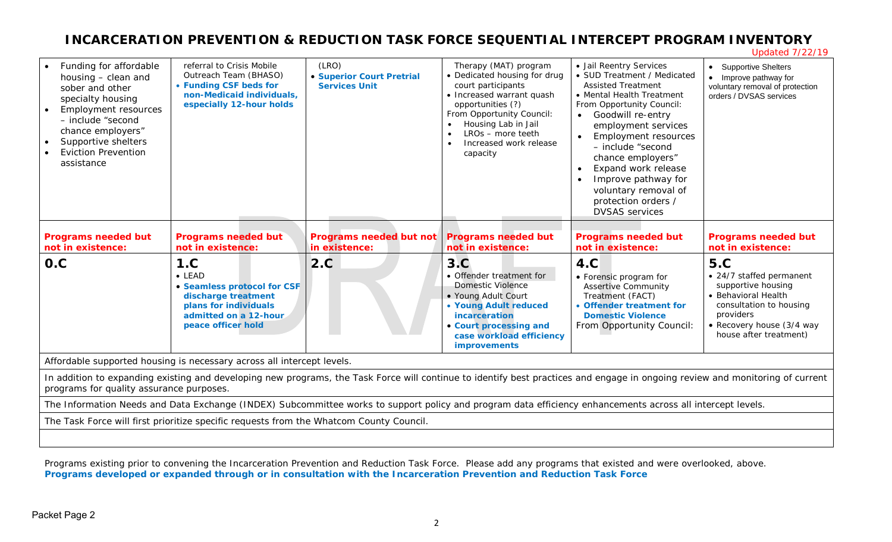# **INCARCERATION PREVENTION & REDUCTION TASK FORCE SEQUENTIAL INTERCEPT PROGRAM INVENTORY**

Updated 7/22/19

| Funding for affordable<br>housing - clean and<br>sober and other<br>specialty housing<br><b>Employment resources</b><br>- include "second<br>chance employers"<br>Supportive shelters<br><b>Eviction Prevention</b><br>assistance | referral to Crisis Mobile<br>Outreach Team (BHASO)<br>• Funding CSF beds for<br>non-Medicaid individuals,<br>especially 12-hour holds                      | (LRO)<br><b>• Superior Court Pretrial</b><br><b>Services Unit</b> | Therapy (MAT) program<br>• Dedicated housing for drug<br>court participants<br>• Increased warrant quash<br>opportunities (?)<br>From Opportunity Council:<br>Housing Lab in Jail<br>LROs - more teeth<br>Increased work release<br>capacity | · Jail Reentry Services<br>• SUD Treatment / Medicated<br><b>Assisted Treatment</b><br>• Mental Health Treatment<br>From Opportunity Council:<br>Goodwill re-entry<br>employment services<br><b>Employment resources</b><br>- include "second<br>chance employers"<br>Expand work release<br>Improve pathway for<br>voluntary removal of<br>protection orders /<br><b>DVSAS</b> services | • Supportive Shelters<br>Improve pathway for<br>voluntary removal of protection<br>orders / DVSAS services                                                                         |
|-----------------------------------------------------------------------------------------------------------------------------------------------------------------------------------------------------------------------------------|------------------------------------------------------------------------------------------------------------------------------------------------------------|-------------------------------------------------------------------|----------------------------------------------------------------------------------------------------------------------------------------------------------------------------------------------------------------------------------------------|------------------------------------------------------------------------------------------------------------------------------------------------------------------------------------------------------------------------------------------------------------------------------------------------------------------------------------------------------------------------------------------|------------------------------------------------------------------------------------------------------------------------------------------------------------------------------------|
| <b>Programs needed but</b><br>not in existence:                                                                                                                                                                                   | <b>Programs needed but</b><br>not in existence:                                                                                                            | <b>Programs needed but not</b><br>in existence:                   | <b>Programs needed but</b><br>not in existence:                                                                                                                                                                                              | <b>Programs needed but</b><br>not in existence:                                                                                                                                                                                                                                                                                                                                          | <b>Programs needed but</b><br>not in existence:                                                                                                                                    |
| O.C                                                                                                                                                                                                                               | 1.C<br>$\bullet$ LEAD<br>• Seamless protocol for CSF<br>discharge treatment<br>plans for individuals<br>admitted on a 12-hour<br>peace officer hold        | 2.C                                                               | 3.C<br>• Offender treatment for<br><b>Domestic Violence</b><br>• Young Adult Court<br>• Young Adult reduced<br>incarceration<br>• Court processing and<br>case workload efficiency<br><b>improvements</b>                                    | 4.C<br>• Forensic program for<br><b>Assertive Community</b><br>Treatment (FACT)<br>• Offender treatment for<br><b>Domestic Violence</b><br>From Opportunity Council:                                                                                                                                                                                                                     | <b>5.C</b><br>• 24/7 staffed permanent<br>supportive housing<br>• Behavioral Health<br>consultation to housing<br>providers<br>• Recovery house (3/4 way<br>house after treatment) |
| Affordable supported housing is necessary across all intercept levels.                                                                                                                                                            |                                                                                                                                                            |                                                                   |                                                                                                                                                                                                                                              |                                                                                                                                                                                                                                                                                                                                                                                          |                                                                                                                                                                                    |
| In addition to expanding existing and developing new programs, the Task Force will continue to identify best practices and engage in ongoing review and monitoring of current<br>programs for quality assurance purposes.         |                                                                                                                                                            |                                                                   |                                                                                                                                                                                                                                              |                                                                                                                                                                                                                                                                                                                                                                                          |                                                                                                                                                                                    |
|                                                                                                                                                                                                                                   |                                                                                                                                                            |                                                                   |                                                                                                                                                                                                                                              |                                                                                                                                                                                                                                                                                                                                                                                          |                                                                                                                                                                                    |
|                                                                                                                                                                                                                                   | The Information Needs and Data Exchange (INDEX) Subcommittee works to support policy and program data efficiency enhancements across all intercept levels. |                                                                   |                                                                                                                                                                                                                                              |                                                                                                                                                                                                                                                                                                                                                                                          |                                                                                                                                                                                    |
|                                                                                                                                                                                                                                   | The Task Force will first prioritize specific requests from the Whatcom County Council.                                                                    |                                                                   |                                                                                                                                                                                                                                              |                                                                                                                                                                                                                                                                                                                                                                                          |                                                                                                                                                                                    |

Programs existing prior to convening the Incarceration Prevention and Reduction Task Force. Please add any programs that existed and were overlooked, above. **Programs developed or expanded through or in consultation with the Incarceration Prevention and Reduction Task Force**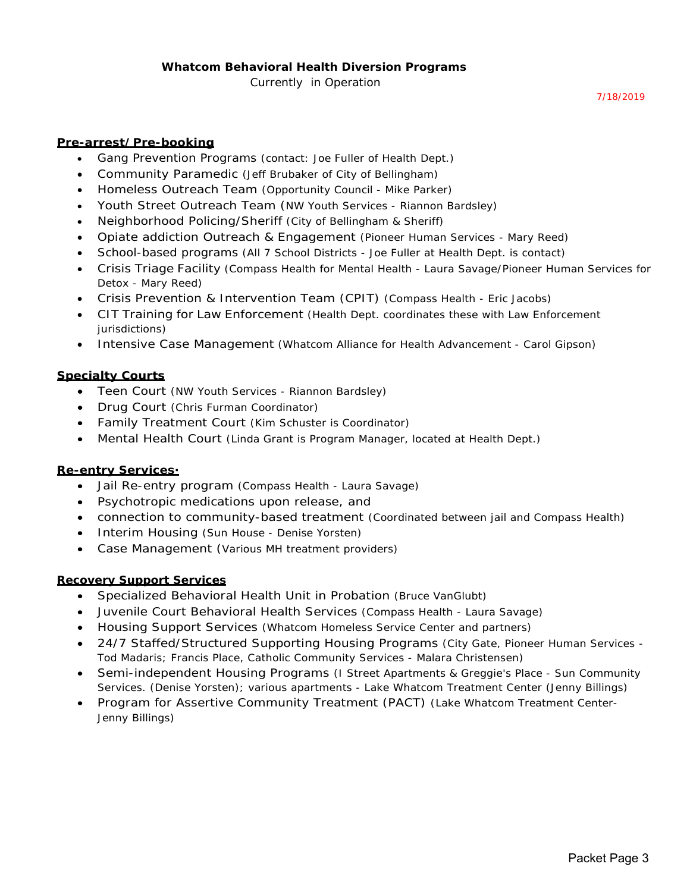*7/18/2019*

#### **Pre-arrest/Pre-booking**

- Gang Prevention Programs *(contact: Joe Fuller of Health Dept.)*
- Community Paramedic *(Jeff Brubaker of City of Bellingham)*
- Homeless Outreach Team *(Opportunity Council Mike Parker)*
- Youth Street Outreach Team (*NW Youth Services Riannon Bardsley)*
- Neighborhood Policing/Sheriff *(City of Bellingham & Sheriff)*
- Opiate addiction Outreach & Engagement *(Pioneer Human Services Mary Reed)*
- School-based programs *(All 7 School Districts Joe Fuller at Health Dept. is contact)*
- Crisis Triage Facility *(Compass Health for Mental Health Laura Savage/Pioneer Human Services for Detox - Mary Reed)*
- Crisis Prevention & Intervention Team (CPIT) *(Compass Health Eric Jacobs)*
- CIT Training for Law Enforcement *(Health Dept. coordinates these with Law Enforcement jurisdictions)*
- Intensive Case Management *(Whatcom Alliance for Health Advancement Carol Gipson)*

#### **Specialty Courts**

- Teen Court *(NW Youth Services Riannon Bardsley)*
- Drug Court *(Chris Furman Coordinator)*
- Family Treatment Court *(Kim Schuster is Coordinator)*
- Mental Health Court *(Linda Grant is Program Manager, located at Health Dept.)*

#### **Re-entry Services·**

- Jail Re-entry program *(Compass Health Laura Savage)*
- Psychotropic medications upon release, and
- connection to community-based treatment *(Coordinated between jail and Compass Health)*
- Interim Housing *(Sun House Denise Yorsten)*
- Case Management (*Various MH treatment providers)*

#### **Recovery Support Services**

- Specialized Behavioral Health Unit in Probation *(Bruce VanGlubt)*
- Juvenile Court Behavioral Health Services *(Compass Health Laura Savage)*
- Housing Support Services *(Whatcom Homeless Service Center and partners)*
- 24/7 Staffed/Structured Supporting Housing Programs *(City Gate, Pioneer Human Services Tod Madaris; Francis Place, Catholic Community Services - Malara Christensen)*
- Semi-independent Housing Programs *(I Street Apartments & Greggie's Place Sun Community Services. (Denise Yorsten); various apartments - Lake Whatcom Treatment Center (Jenny Billings)*
- Program for Assertive Community Treatment (PACT) *(Lake Whatcom Treatment Center-Jenny Billings)*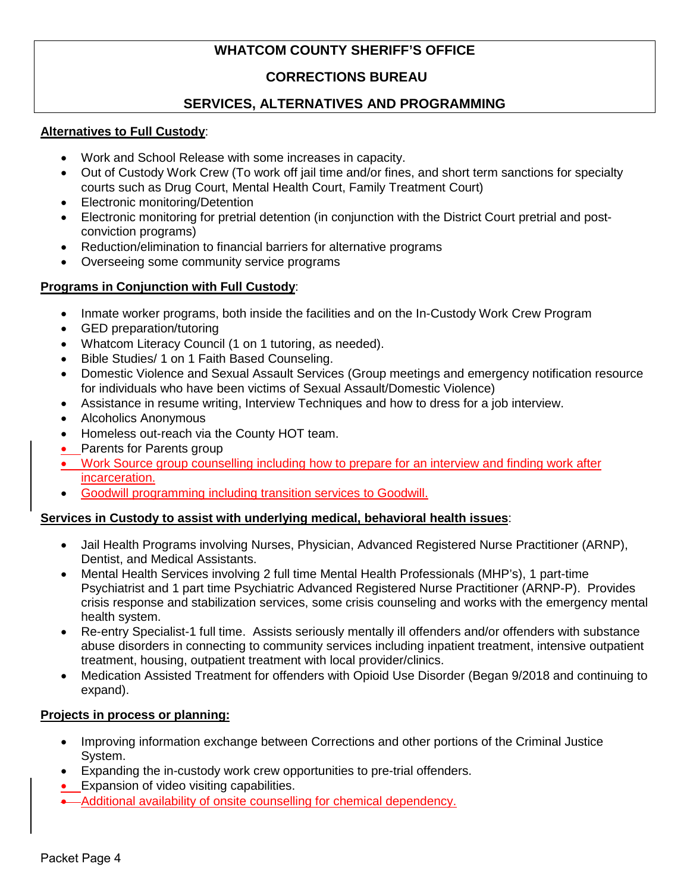## **WHATCOM COUNTY SHERIFF'S OFFICE**

## **CORRECTIONS BUREAU**

## **SERVICES, ALTERNATIVES AND PROGRAMMING**

### **Alternatives to Full Custody**:

- Work and School Release with some increases in capacity.
- Out of Custody Work Crew (To work off jail time and/or fines, and short term sanctions for specialty courts such as Drug Court, Mental Health Court, Family Treatment Court)
- Electronic monitoring/Detention
- Electronic monitoring for pretrial detention (in conjunction with the District Court pretrial and postconviction programs)
- Reduction/elimination to financial barriers for alternative programs
- Overseeing some community service programs

## **Programs in Conjunction with Full Custody**:

- Inmate worker programs, both inside the facilities and on the In-Custody Work Crew Program
- GED preparation/tutoring
- Whatcom Literacy Council (1 on 1 tutoring, as needed).
- Bible Studies/ 1 on 1 Faith Based Counseling.
- Domestic Violence and Sexual Assault Services (Group meetings and emergency notification resource for individuals who have been victims of Sexual Assault/Domestic Violence)
- Assistance in resume writing, Interview Techniques and how to dress for a job interview.
- Alcoholics Anonymous
- Homeless out-reach via the County HOT team.
- Parents for Parents group
- Work Source group counselling including how to prepare for an interview and finding work after incarceration.
- Goodwill programming including transition services to Goodwill.

## **Services in Custody to assist with underlying medical, behavioral health issues**:

- Jail Health Programs involving Nurses, Physician, Advanced Registered Nurse Practitioner (ARNP), Dentist, and Medical Assistants.
- Mental Health Services involving 2 full time Mental Health Professionals (MHP's), 1 part-time Psychiatrist and 1 part time Psychiatric Advanced Registered Nurse Practitioner (ARNP-P). Provides crisis response and stabilization services, some crisis counseling and works with the emergency mental health system.
- Re-entry Specialist-1 full time. Assists seriously mentally ill offenders and/or offenders with substance abuse disorders in connecting to community services including inpatient treatment, intensive outpatient treatment, housing, outpatient treatment with local provider/clinics.
- Medication Assisted Treatment for offenders with Opioid Use Disorder (Began 9/2018 and continuing to expand).

## **Projects in process or planning:**

- Improving information exchange between Corrections and other portions of the Criminal Justice System.
- Expanding the in-custody work crew opportunities to pre-trial offenders.
- Expansion of video visiting capabilities.
- Additional availability of onsite counselling for chemical dependency.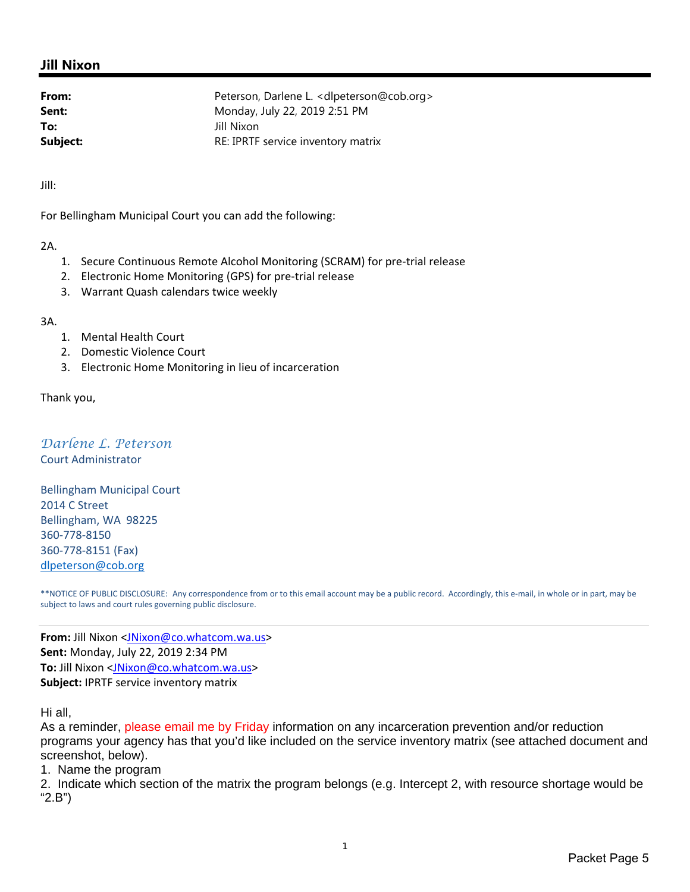## **Jill Nixon**

| From:    | Peterson, Darlene L. < dlpeterson@cob.org> |
|----------|--------------------------------------------|
| Sent:    | Monday, July 22, 2019 2:51 PM              |
| To:      | Jill Nixon                                 |
| Subject: | RE: IPRTF service inventory matrix         |

Jill:

For Bellingham Municipal Court you can add the following:

#### 2A.

- 1. Secure Continuous Remote Alcohol Monitoring (SCRAM) for pre-trial release
- 2. Electronic Home Monitoring (GPS) for pre-trial release
- 3. Warrant Quash calendars twice weekly

#### 3A.

- 1. Mental Health Court
- 2. Domestic Violence Court
- 3. Electronic Home Monitoring in lieu of incarceration

#### Thank you,

## *Darlene L. Peterson*

Court Administrator

Bellingham Municipal Court 2014 C Street Bellingham, WA 98225 360‐778‐8150 360‐778‐8151 (Fax) dlpeterson@cob.org

\*\*NOTICE OF PUBLIC DISCLOSURE: Any correspondence from or to this email account may be a public record. Accordingly, this e‐mail, in whole or in part, may be subject to laws and court rules governing public disclosure.

**From:** Jill Nixon <JNixon@co.whatcom.wa.us> **Sent:** Monday, July 22, 2019 2:34 PM **To:** Jill Nixon <JNixon@co.whatcom.wa.us> **Subject:** IPRTF service inventory matrix

Hi all,

As a reminder, please email me by Friday information on any incarceration prevention and/or reduction programs your agency has that you'd like included on the service inventory matrix (see attached document and screenshot, below).

1. Name the program

2. Indicate which section of the matrix the program belongs (e.g. Intercept 2, with resource shortage would be "2.B")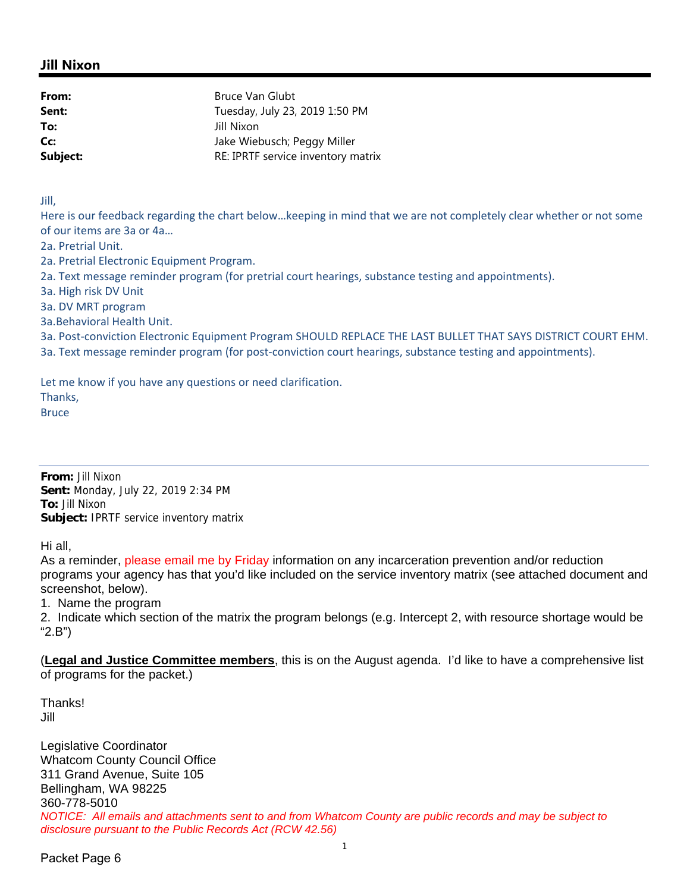## **Jill Nixon**

| From:    | <b>Bruce Van Glubt</b>             |
|----------|------------------------------------|
| Sent:    | Tuesday, July 23, 2019 1:50 PM     |
| To:      | Jill Nixon                         |
| Cc:      | Jake Wiebusch; Peggy Miller        |
| Subject: | RE: IPRTF service inventory matrix |

Jill,

Here is our feedback regarding the chart below…keeping in mind that we are not completely clear whether or not some of our items are 3a or 4a…

2a. Pretrial Unit.

2a. Pretrial Electronic Equipment Program.

2a. Text message reminder program (for pretrial court hearings, substance testing and appointments).

3a. High risk DV Unit

3a. DV MRT program

3a.Behavioral Health Unit.

3a. Post‐conviction Electronic Equipment Program SHOULD REPLACE THE LAST BULLET THAT SAYS DISTRICT COURT EHM.

3a. Text message reminder program (for post-conviction court hearings, substance testing and appointments).

Let me know if you have any questions or need clarification.

Thanks,

Bruce

**From:** Jill Nixon **Sent:** Monday, July 22, 2019 2:34 PM **To:** Jill Nixon **Subject:** IPRTF service inventory matrix

Hi all,

As a reminder, please email me by Friday information on any incarceration prevention and/or reduction programs your agency has that you'd like included on the service inventory matrix (see attached document and screenshot, below).

1. Name the program

2. Indicate which section of the matrix the program belongs (e.g. Intercept 2, with resource shortage would be "2.B")

(**Legal and Justice Committee members**, this is on the August agenda. I'd like to have a comprehensive list of programs for the packet.)

**Thanks!** Jill

Legislative Coordinator Whatcom County Council Office 311 Grand Avenue, Suite 105 Bellingham, WA 98225 360-778-5010 *NOTICE: All emails and attachments sent to and from Whatcom County are public records and may be subject to disclosure pursuant to the Public Records Act (RCW 42.56)*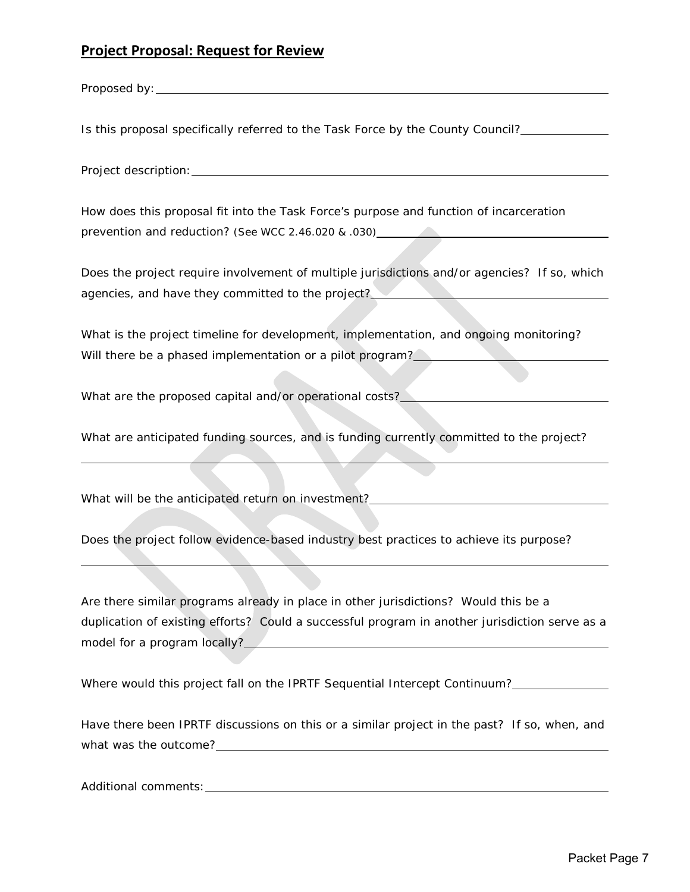## **Project Proposal: Request for Review**

Proposed by: <u>example</u> and the set of the set of the set of the set of the set of the set of the set of the set of the set of the set of the set of the set of the set of the set of the set of the set of the set of the set

Is this proposal specifically referred to the Task Force by the County Council?

Project description:

How does this proposal fit into the Task Force's purpose and function of incarceration prevention and reduction? *(See WCC 2.46.020 & .030)*

Does the project require involvement of multiple jurisdictions and/or agencies? If so, which agencies, and have they committed to the project?

What is the project timeline for development, implementation, and ongoing monitoring? Will there be a phased implementation or a pilot program?

What are the proposed capital and/or operational costs?

What are anticipated funding sources, and is funding currently committed to the project?

What will be the anticipated return on investment?

Does the project follow evidence-based industry best practices to achieve its purpose?

Are there similar programs already in place in other jurisdictions? Would this be a duplication of existing efforts? Could a successful program in another jurisdiction serve as a model for a program locally?

Where would this project fall on the IPRTF Sequential Intercept Continuum?

Have there been IPRTF discussions on this or a similar project in the past? If so, when, and what was the outcome?\_\_\_

Additional comments: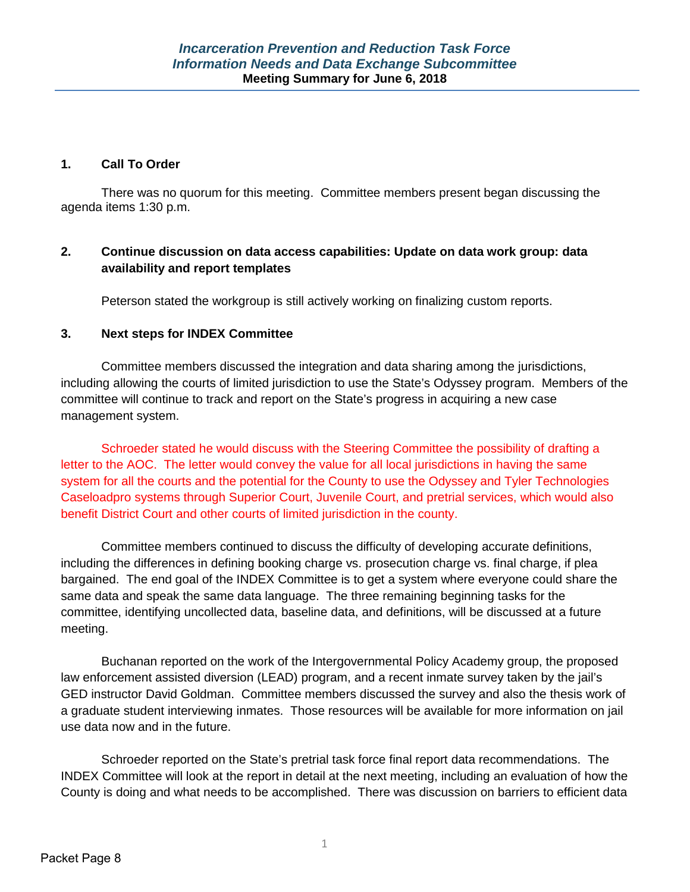### **1. Call To Order**

There was no quorum for this meeting. Committee members present began discussing the agenda items 1:30 p.m.

## **2. Continue discussion on data access capabilities: Update on data work group: data availability and report templates**

Peterson stated the workgroup is still actively working on finalizing custom reports.

## **3. Next steps for INDEX Committee**

Committee members discussed the integration and data sharing among the jurisdictions, including allowing the courts of limited jurisdiction to use the State's Odyssey program. Members of the committee will continue to track and report on the State's progress in acquiring a new case management system.

Schroeder stated he would discuss with the Steering Committee the possibility of drafting a letter to the AOC. The letter would convey the value for all local jurisdictions in having the same system for all the courts and the potential for the County to use the Odyssey and Tyler Technologies Caseloadpro systems through Superior Court, Juvenile Court, and pretrial services, which would also benefit District Court and other courts of limited jurisdiction in the county.

Committee members continued to discuss the difficulty of developing accurate definitions, including the differences in defining booking charge vs. prosecution charge vs. final charge, if plea bargained. The end goal of the INDEX Committee is to get a system where everyone could share the same data and speak the same data language. The three remaining beginning tasks for the committee, identifying uncollected data, baseline data, and definitions, will be discussed at a future meeting.

Buchanan reported on the work of the Intergovernmental Policy Academy group, the proposed law enforcement assisted diversion (LEAD) program, and a recent inmate survey taken by the jail's GED instructor David Goldman. Committee members discussed the survey and also the thesis work of a graduate student interviewing inmates. Those resources will be available for more information on jail use data now and in the future.

Schroeder reported on the State's pretrial task force final report data recommendations. The INDEX Committee will look at the report in detail at the next meeting, including an evaluation of how the County is doing and what needs to be accomplished. There was discussion on barriers to efficient data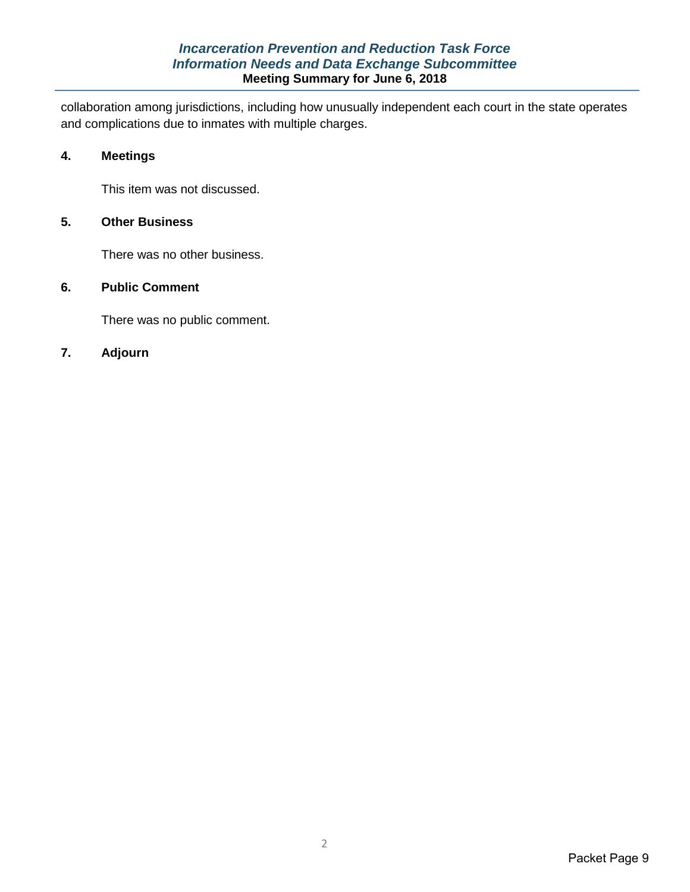## *Incarceration Prevention and Reduction Task Force Information Needs and Data Exchange Subcommittee* **Meeting Summary for June 6, 2018**

collaboration among jurisdictions, including how unusually independent each court in the state operates and complications due to inmates with multiple charges.

### **4. Meetings**

This item was not discussed.

### **5. Other Business**

There was no other business.

## **6. Public Comment**

There was no public comment.

## **7. Adjourn**